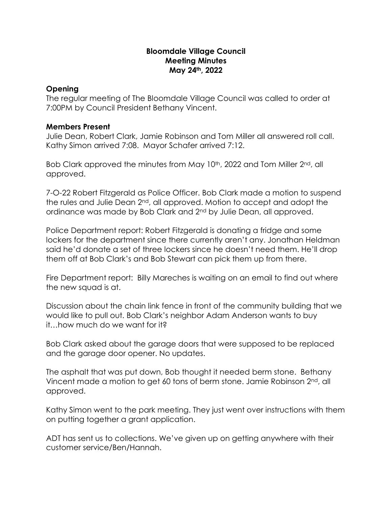## **Bloomdale Village Council Meeting Minutes May 24th, 2022**

## **Opening**

The regular meeting of The Bloomdale Village Council was called to order at 7:00PM by Council President Bethany Vincent.

## **Members Present**

Julie Dean, Robert Clark, Jamie Robinson and Tom Miller all answered roll call. Kathy Simon arrived 7:08. Mayor Schafer arrived 7:12.

Bob Clark approved the minutes from May 10<sup>th</sup>, 2022 and Tom Miller 2<sup>nd</sup>, all approved.

7-O-22 Robert Fitzgerald as Police Officer. Bob Clark made a motion to suspend the rules and Julie Dean 2nd, all approved. Motion to accept and adopt the ordinance was made by Bob Clark and 2nd by Julie Dean, all approved.

Police Department report: Robert Fitzgerald is donating a fridge and some lockers for the department since there currently aren't any. Jonathan Heldman said he'd donate a set of three lockers since he doesn't need them. He'll drop them off at Bob Clark's and Bob Stewart can pick them up from there.

Fire Department report: Billy Mareches is waiting on an email to find out where the new squad is at.

Discussion about the chain link fence in front of the community building that we would like to pull out. Bob Clark's neighbor Adam Anderson wants to buy it…how much do we want for it?

Bob Clark asked about the garage doors that were supposed to be replaced and the garage door opener. No updates.

The asphalt that was put down, Bob thought it needed berm stone. Bethany Vincent made a motion to get 60 tons of berm stone. Jamie Robinson 2<sup>nd</sup>, all approved.

Kathy Simon went to the park meeting. They just went over instructions with them on putting together a grant application.

ADT has sent us to collections. We've given up on getting anywhere with their customer service/Ben/Hannah.